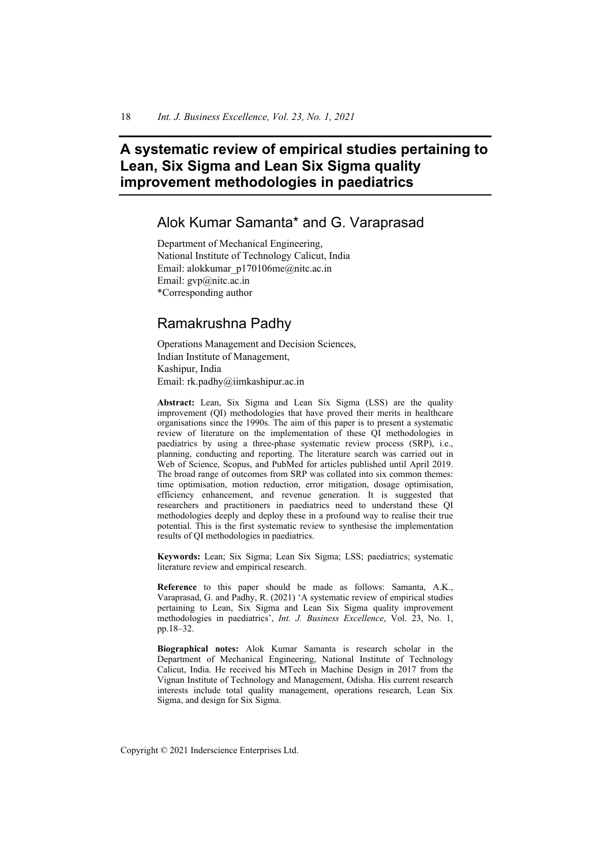# **A systematic review of empirical studies pertaining to Lean, Six Sigma and Lean Six Sigma quality improvement methodologies in paediatrics**

# Alok Kumar Samanta\* and G. Varaprasad

Department of Mechanical Engineering, National Institute of Technology Calicut, India Email: alokkumar\_p170106me@nitc.ac.in Email: gvp@nitc.ac.in \*Corresponding author

# Ramakrushna Padhy

Operations Management and Decision Sciences, Indian Institute of Management, Kashipur, India Email: rk.padhy@iimkashipur.ac.in

**Abstract:** Lean, Six Sigma and Lean Six Sigma (LSS) are the quality improvement (QI) methodologies that have proved their merits in healthcare organisations since the 1990s. The aim of this paper is to present a systematic review of literature on the implementation of these QI methodologies in paediatrics by using a three-phase systematic review process (SRP), i.e., planning, conducting and reporting. The literature search was carried out in Web of Science, Scopus, and PubMed for articles published until April 2019. The broad range of outcomes from SRP was collated into six common themes: time optimisation, motion reduction, error mitigation, dosage optimisation, efficiency enhancement, and revenue generation. It is suggested that researchers and practitioners in paediatrics need to understand these QI methodologies deeply and deploy these in a profound way to realise their true potential. This is the first systematic review to synthesise the implementation results of QI methodologies in paediatrics.

**Keywords:** Lean; Six Sigma; Lean Six Sigma; LSS; paediatrics; systematic literature review and empirical research.

**Reference** to this paper should be made as follows: Samanta, A.K., Varaprasad, G. and Padhy, R. (2021) 'A systematic review of empirical studies pertaining to Lean, Six Sigma and Lean Six Sigma quality improvement methodologies in paediatrics', *Int. J. Business Excellence*, Vol. 23, No. 1, pp.18–32.

**Biographical notes:** Alok Kumar Samanta is research scholar in the Department of Mechanical Engineering, National Institute of Technology Calicut, India. He received his MTech in Machine Design in 2017 from the Vignan Institute of Technology and Management, Odisha. His current research interests include total quality management, operations research, Lean Six Sigma, and design for Six Sigma.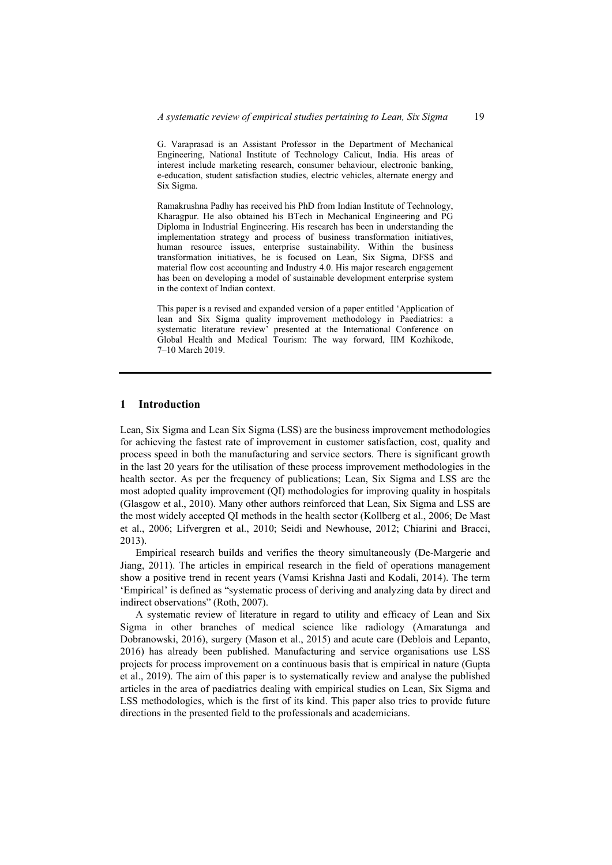G. Varaprasad is an Assistant Professor in the Department of Mechanical Engineering, National Institute of Technology Calicut, India. His areas of interest include marketing research, consumer behaviour, electronic banking, e-education, student satisfaction studies, electric vehicles, alternate energy and Six Sigma.

Ramakrushna Padhy has received his PhD from Indian Institute of Technology, Kharagpur. He also obtained his BTech in Mechanical Engineering and PG Diploma in Industrial Engineering. His research has been in understanding the implementation strategy and process of business transformation initiatives, human resource issues, enterprise sustainability. Within the business transformation initiatives, he is focused on Lean, Six Sigma, DFSS and material flow cost accounting and Industry 4.0. His major research engagement has been on developing a model of sustainable development enterprise system in the context of Indian context.

This paper is a revised and expanded version of a paper entitled 'Application of lean and Six Sigma quality improvement methodology in Paediatrics: a systematic literature review' presented at the International Conference on Global Health and Medical Tourism: The way forward, IIM Kozhikode, 7–10 March 2019.

### **1 Introduction**

Lean, Six Sigma and Lean Six Sigma (LSS) are the business improvement methodologies for achieving the fastest rate of improvement in customer satisfaction, cost, quality and process speed in both the manufacturing and service sectors. There is significant growth in the last 20 years for the utilisation of these process improvement methodologies in the health sector. As per the frequency of publications; Lean, Six Sigma and LSS are the most adopted quality improvement (QI) methodologies for improving quality in hospitals (Glasgow et al., 2010). Many other authors reinforced that Lean, Six Sigma and LSS are the most widely accepted QI methods in the health sector (Kollberg et al., 2006; De Mast et al., 2006; Lifvergren et al., 2010; Seidi and Newhouse, 2012; Chiarini and Bracci, 2013).

Empirical research builds and verifies the theory simultaneously (De-Margerie and Jiang, 2011). The articles in empirical research in the field of operations management show a positive trend in recent years (Vamsi Krishna Jasti and Kodali, 2014). The term 'Empirical' is defined as "systematic process of deriving and analyzing data by direct and indirect observations" (Roth, 2007).

A systematic review of literature in regard to utility and efficacy of Lean and Six Sigma in other branches of medical science like radiology (Amaratunga and Dobranowski, 2016), surgery (Mason et al., 2015) and acute care (Deblois and Lepanto, 2016) has already been published. Manufacturing and service organisations use LSS projects for process improvement on a continuous basis that is empirical in nature (Gupta et al., 2019). The aim of this paper is to systematically review and analyse the published articles in the area of paediatrics dealing with empirical studies on Lean, Six Sigma and LSS methodologies, which is the first of its kind. This paper also tries to provide future directions in the presented field to the professionals and academicians.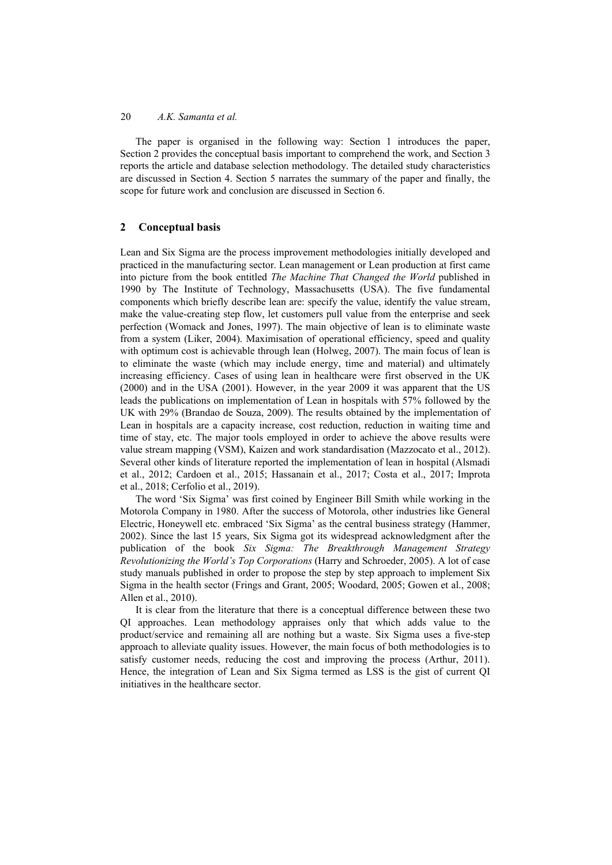The paper is organised in the following way: Section 1 introduces the paper, Section 2 provides the conceptual basis important to comprehend the work, and Section 3 reports the article and database selection methodology. The detailed study characteristics are discussed in Section 4. Section 5 narrates the summary of the paper and finally, the scope for future work and conclusion are discussed in Section 6.

### **2 Conceptual basis**

Lean and Six Sigma are the process improvement methodologies initially developed and practiced in the manufacturing sector. Lean management or Lean production at first came into picture from the book entitled *The Machine That Changed the World* published in 1990 by The Institute of Technology, Massachusetts (USA). The five fundamental components which briefly describe lean are: specify the value, identify the value stream, make the value-creating step flow, let customers pull value from the enterprise and seek perfection (Womack and Jones, 1997). The main objective of lean is to eliminate waste from a system (Liker, 2004). Maximisation of operational efficiency, speed and quality with optimum cost is achievable through lean (Holweg, 2007). The main focus of lean is to eliminate the waste (which may include energy, time and material) and ultimately increasing efficiency. Cases of using lean in healthcare were first observed in the UK (2000) and in the USA (2001). However, in the year 2009 it was apparent that the US leads the publications on implementation of Lean in hospitals with 57% followed by the UK with 29% (Brandao de Souza, 2009). The results obtained by the implementation of Lean in hospitals are a capacity increase, cost reduction, reduction in waiting time and time of stay, etc. The major tools employed in order to achieve the above results were value stream mapping (VSM), Kaizen and work standardisation (Mazzocato et al., 2012). Several other kinds of literature reported the implementation of lean in hospital (Alsmadi et al., 2012; Cardoen et al., 2015; Hassanain et al., 2017; Costa et al., 2017; Improta et al., 2018; Cerfolio et al., 2019).

The word 'Six Sigma' was first coined by Engineer Bill Smith while working in the Motorola Company in 1980. After the success of Motorola, other industries like General Electric, Honeywell etc. embraced 'Six Sigma' as the central business strategy (Hammer, 2002). Since the last 15 years, Six Sigma got its widespread acknowledgment after the publication of the book *Six Sigma: The Breakthrough Management Strategy Revolutionizing the World's Top Corporations* (Harry and Schroeder, 2005). A lot of case study manuals published in order to propose the step by step approach to implement Six Sigma in the health sector (Frings and Grant, 2005; Woodard, 2005; Gowen et al., 2008; Allen et al., 2010).

It is clear from the literature that there is a conceptual difference between these two QI approaches. Lean methodology appraises only that which adds value to the product/service and remaining all are nothing but a waste. Six Sigma uses a five-step approach to alleviate quality issues. However, the main focus of both methodologies is to satisfy customer needs, reducing the cost and improving the process (Arthur, 2011). Hence, the integration of Lean and Six Sigma termed as LSS is the gist of current QI initiatives in the healthcare sector.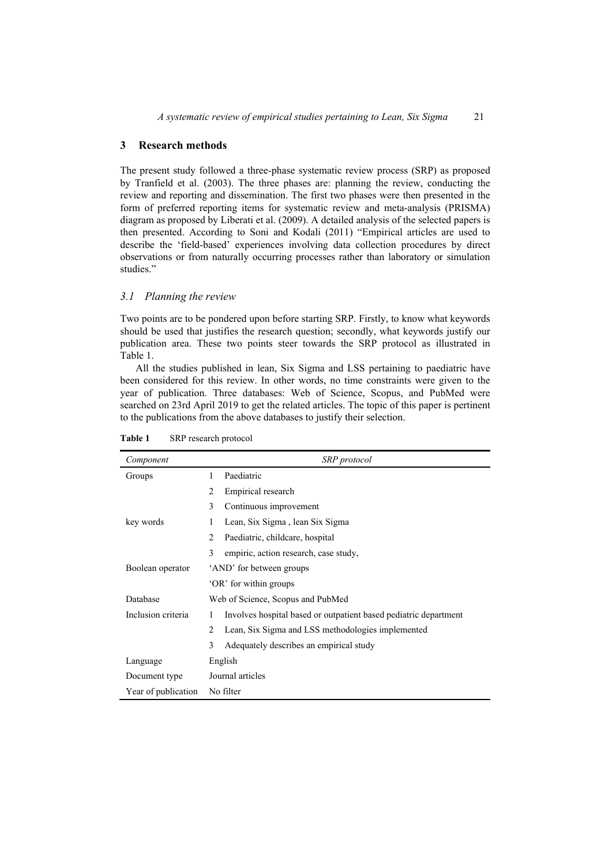### **3 Research methods**

The present study followed a three-phase systematic review process (SRP) as proposed by Tranfield et al. (2003). The three phases are: planning the review, conducting the review and reporting and dissemination. The first two phases were then presented in the form of preferred reporting items for systematic review and meta-analysis (PRISMA) diagram as proposed by Liberati et al. (2009). A detailed analysis of the selected papers is then presented. According to Soni and Kodali (2011) "Empirical articles are used to describe the 'field-based' experiences involving data collection procedures by direct observations or from naturally occurring processes rather than laboratory or simulation studies."

### *3.1 Planning the review*

Two points are to be pondered upon before starting SRP. Firstly, to know what keywords should be used that justifies the research question; secondly, what keywords justify our publication area. These two points steer towards the SRP protocol as illustrated in Table 1.

All the studies published in lean, Six Sigma and LSS pertaining to paediatric have been considered for this review. In other words, no time constraints were given to the year of publication. Three databases: Web of Science, Scopus, and PubMed were searched on 23rd April 2019 to get the related articles. The topic of this paper is pertinent to the publications from the above databases to justify their selection.

| Component           | SRP protocol                                                          |
|---------------------|-----------------------------------------------------------------------|
| Groups              | Paediatric<br>1                                                       |
|                     | 2<br>Empirical research                                               |
|                     | 3<br>Continuous improvement                                           |
| key words           | 1<br>Lean, Six Sigma, lean Six Sigma                                  |
|                     | $\mathcal{L}$<br>Paediatric, childcare, hospital                      |
|                     | 3<br>empiric, action research, case study,                            |
| Boolean operator    | 'AND' for between groups                                              |
|                     | 'OR' for within groups                                                |
| Database            | Web of Science, Scopus and PubMed                                     |
| Inclusion criteria  | Involves hospital based or outpatient based pediatric department<br>1 |
|                     | 2<br>Lean, Six Sigma and LSS methodologies implemented                |
|                     | 3<br>Adequately describes an empirical study                          |
| Language            | English                                                               |
| Document type       | Journal articles                                                      |
| Year of publication | No filter                                                             |

**Table 1** SRP research protocol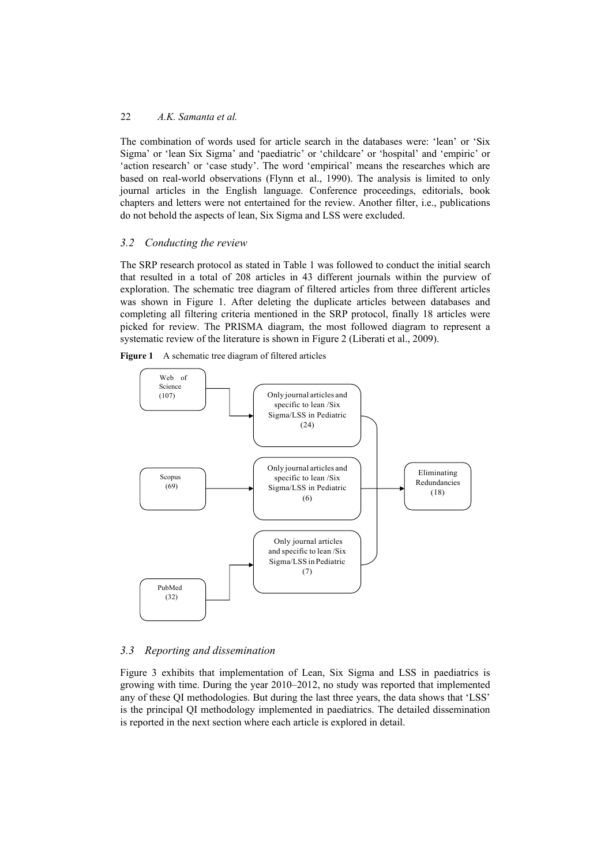The combination of words used for article search in the databases were: 'lean' or 'Six Sigma' or 'lean Six Sigma' and 'paediatric' or 'childcare' or 'hospital' and 'empiric' or 'action research' or 'case study'. The word 'empirical' means the researches which are based on real-world observations (Flynn et al., 1990). The analysis is limited to only journal articles in the English language. Conference proceedings, editorials, book chapters and letters were not entertained for the review. Another filter, i.e., publications do not behold the aspects of lean, Six Sigma and LSS were excluded.

# *3.2 Conducting the review*

The SRP research protocol as stated in Table 1 was followed to conduct the initial search that resulted in a total of 208 articles in 43 different journals within the purview of exploration. The schematic tree diagram of filtered articles from three different articles was shown in Figure 1. After deleting the duplicate articles between databases and completing all filtering criteria mentioned in the SRP protocol, finally 18 articles were picked for review. The PRISMA diagram, the most followed diagram to represent a systematic review of the literature is shown in Figure 2 (Liberati et al., 2009).





# *3.3 Reporting and dissemination*

Figure 3 exhibits that implementation of Lean, Six Sigma and LSS in paediatrics is growing with time. During the year 2010–2012, no study was reported that implemented any of these QI methodologies. But during the last three years, the data shows that 'LSS' is the principal QI methodology implemented in paediatrics. The detailed dissemination is reported in the next section where each article is explored in detail.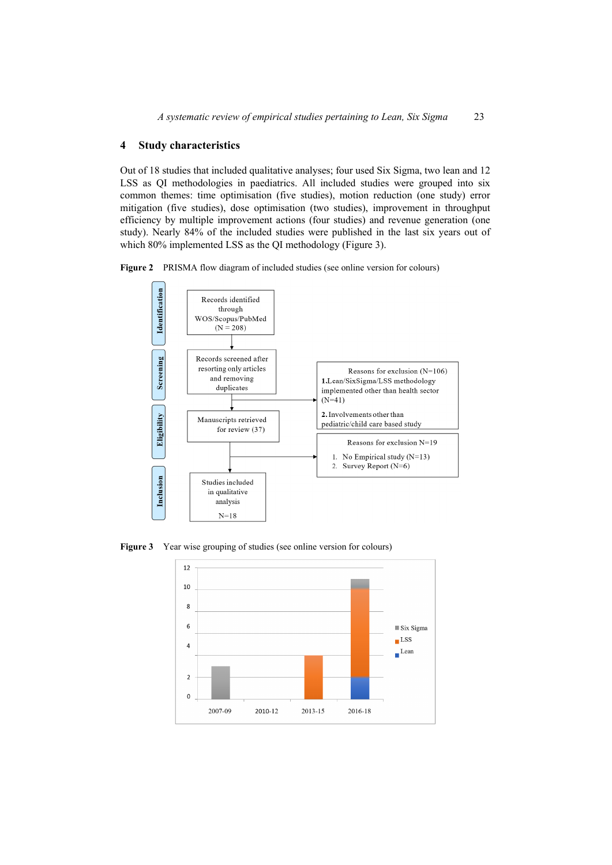#### **4 Study characteristics**

Out of 18 studies that included qualitative analyses; four used Six Sigma, two lean and 12 LSS as QI methodologies in paediatrics. All included studies were grouped into six common themes: time optimisation (five studies), motion reduction (one study) error mitigation (five studies), dose optimisation (two studies), improvement in throughput efficiency by multiple improvement actions (four studies) and revenue generation (one study). Nearly 84% of the included studies were published in the last six years out of which 80% implemented LSS as the OI methodology (Figure 3).

**Figure 2** PRISMA flow diagram of included studies (see online version for colours)



Figure 3 Year wise grouping of studies (see online version for colours)

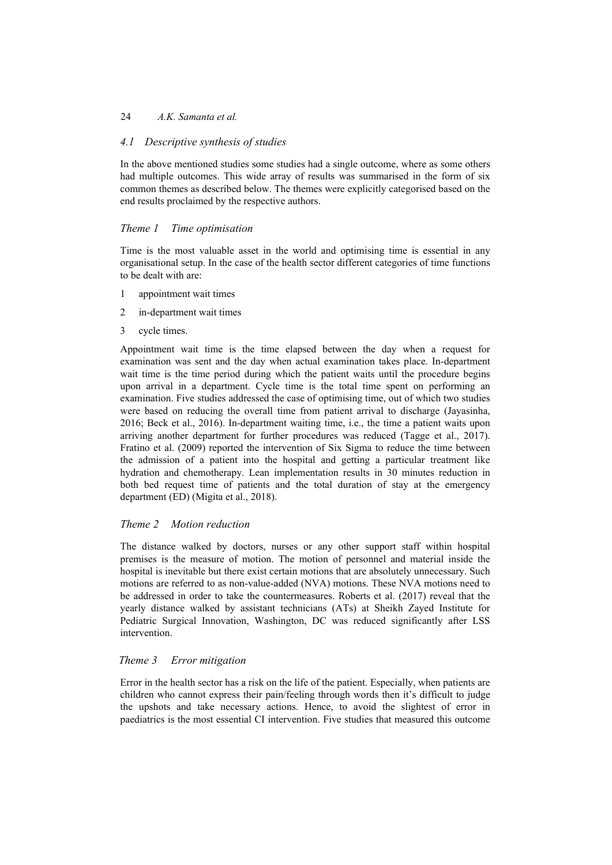# *4.1 Descriptive synthesis of studies*

In the above mentioned studies some studies had a single outcome, where as some others had multiple outcomes. This wide array of results was summarised in the form of six common themes as described below. The themes were explicitly categorised based on the end results proclaimed by the respective authors.

# *Theme 1 Time optimisation*

Time is the most valuable asset in the world and optimising time is essential in any organisational setup. In the case of the health sector different categories of time functions to be dealt with are:

- 1 appointment wait times
- 2 in-department wait times
- 3 cycle times.

Appointment wait time is the time elapsed between the day when a request for examination was sent and the day when actual examination takes place. In-department wait time is the time period during which the patient waits until the procedure begins upon arrival in a department. Cycle time is the total time spent on performing an examination. Five studies addressed the case of optimising time, out of which two studies were based on reducing the overall time from patient arrival to discharge (Jayasinha, 2016; Beck et al., 2016). In-department waiting time, i.e., the time a patient waits upon arriving another department for further procedures was reduced (Tagge et al., 2017). Fratino et al. (2009) reported the intervention of Six Sigma to reduce the time between the admission of a patient into the hospital and getting a particular treatment like hydration and chemotherapy. Lean implementation results in 30 minutes reduction in both bed request time of patients and the total duration of stay at the emergency department (ED) (Migita et al., 2018).

## *Theme 2 Motion reduction*

The distance walked by doctors, nurses or any other support staff within hospital premises is the measure of motion. The motion of personnel and material inside the hospital is inevitable but there exist certain motions that are absolutely unnecessary. Such motions are referred to as non-value-added (NVA) motions. These NVA motions need to be addressed in order to take the countermeasures. Roberts et al. (2017) reveal that the yearly distance walked by assistant technicians (ATs) at Sheikh Zayed Institute for Pediatric Surgical Innovation, Washington, DC was reduced significantly after LSS intervention.

## *Theme 3 Error mitigation*

Error in the health sector has a risk on the life of the patient. Especially, when patients are children who cannot express their pain/feeling through words then it's difficult to judge the upshots and take necessary actions. Hence, to avoid the slightest of error in paediatrics is the most essential CI intervention. Five studies that measured this outcome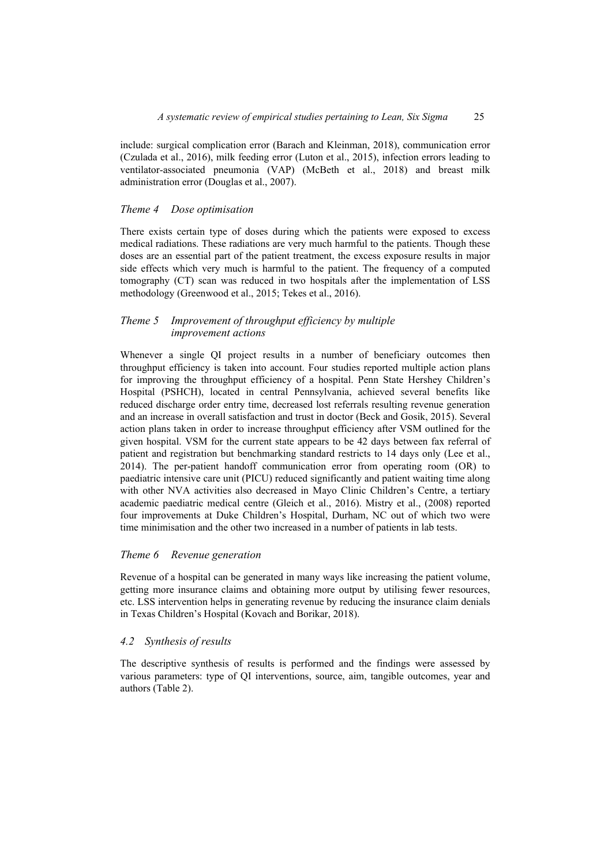include: surgical complication error (Barach and Kleinman, 2018), communication error (Czulada et al., 2016), milk feeding error (Luton et al., 2015), infection errors leading to ventilator-associated pneumonia (VAP) (McBeth et al., 2018) and breast milk administration error (Douglas et al., 2007).

### *Theme 4 Dose optimisation*

There exists certain type of doses during which the patients were exposed to excess medical radiations. These radiations are very much harmful to the patients. Though these doses are an essential part of the patient treatment, the excess exposure results in major side effects which very much is harmful to the patient. The frequency of a computed tomography (CT) scan was reduced in two hospitals after the implementation of LSS methodology (Greenwood et al., 2015; Tekes et al., 2016).

### *Theme 5 Improvement of throughput efficiency by multiple improvement actions*

Whenever a single QI project results in a number of beneficiary outcomes then throughput efficiency is taken into account. Four studies reported multiple action plans for improving the throughput efficiency of a hospital. Penn State Hershey Children's Hospital (PSHCH), located in central Pennsylvania, achieved several benefits like reduced discharge order entry time, decreased lost referrals resulting revenue generation and an increase in overall satisfaction and trust in doctor (Beck and Gosik, 2015). Several action plans taken in order to increase throughput efficiency after VSM outlined for the given hospital. VSM for the current state appears to be 42 days between fax referral of patient and registration but benchmarking standard restricts to 14 days only (Lee et al., 2014). The per-patient handoff communication error from operating room (OR) to paediatric intensive care unit (PICU) reduced significantly and patient waiting time along with other NVA activities also decreased in Mayo Clinic Children's Centre, a tertiary academic paediatric medical centre (Gleich et al., 2016). Mistry et al., (2008) reported four improvements at Duke Children's Hospital, Durham, NC out of which two were time minimisation and the other two increased in a number of patients in lab tests.

### *Theme 6 Revenue generation*

Revenue of a hospital can be generated in many ways like increasing the patient volume, getting more insurance claims and obtaining more output by utilising fewer resources, etc. LSS intervention helps in generating revenue by reducing the insurance claim denials in Texas Children's Hospital (Kovach and Borikar, 2018).

## *4.2 Synthesis of results*

The descriptive synthesis of results is performed and the findings were assessed by various parameters: type of QI interventions, source, aim, tangible outcomes, year and authors (Table 2).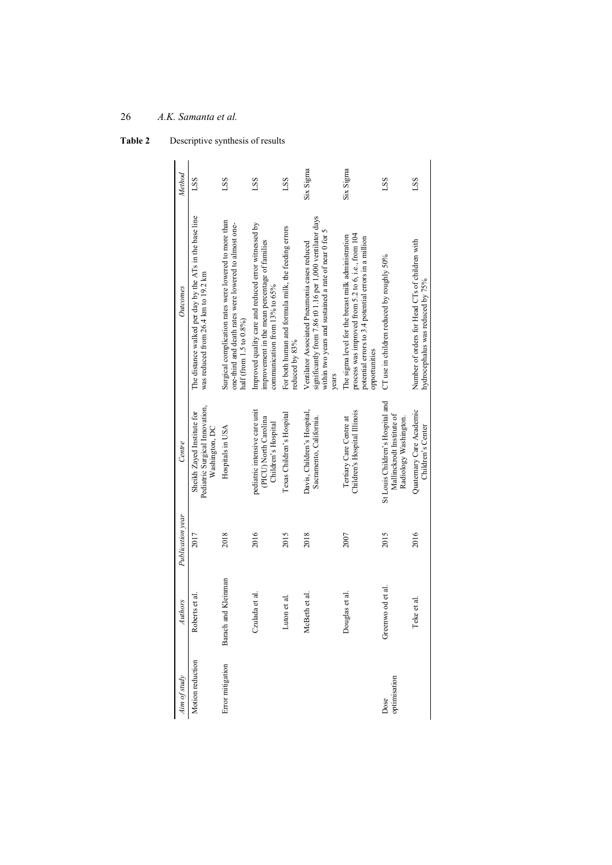| Aim of study         | Authors             | Publication vear | Centre                                                                                 | Outcomes                                                                                                                                                                           | Method    |
|----------------------|---------------------|------------------|----------------------------------------------------------------------------------------|------------------------------------------------------------------------------------------------------------------------------------------------------------------------------------|-----------|
| Motion reduction     | Roberts et al.      | 2017             | Pediatric Surgical Innovation,<br>Sheikh Zayed Institute for<br>Washington, DC         | The distance walked per day by the ATs in the base line<br>was reduced from 26.4 km to 19.2 km                                                                                     | LSS       |
| Error mitigation     | Barach and Kleinman | 2018             | Hospitals in USA                                                                       | Surgical complication rates were lowered to more than<br>one-third and death rates were lowered to almost one-<br>half (from 1.5 to 0.8%)                                          | LSS       |
|                      | Czulada et al.      | 2016             | pediatric intensive care unit<br>(PICU) North Carolina<br>Children's Hospital          | Improved quality care and reduced error witnessed by<br>improvement in the mean percentage of families<br>communication from 13% to 65%                                            | LSS.      |
|                      | Luton et al.        | 2015             | Texas Children's Hospital                                                              | For both human and formula milk, the feeding errors<br>reduced by 83%                                                                                                              | LSS       |
|                      | McBeth et al.       | 2018             | Davis, Children's Hospital,<br>Sacramento, California.                                 | significantly from 7.86 t0 1.16 per 1,000 ventilator days<br>within two years and sustained a rate of near 0 for 5<br>Ventilator Associated Pneumonia cases reduced<br>years       | Six Sigma |
|                      | Douglas et al.      | 2007             | Children's Hospital Illinois<br>Tertiary Care Centre at                                | process was improved from 5.2 to 6, i.e., from 104<br>The sigma level for the breast milk administration<br>potential errors to 3.4 potential errors in a million<br>opportunities | Six Sigma |
| optimisation<br>Dose | Greenwo od et al.   | 2015             | St Louis Children's Hospital and<br>Mallinckrodt Institute of<br>Radiology Washington. | CT use in children reduced by roughly $50\%$                                                                                                                                       | LSS.      |
|                      | Teke et al.         | 2016             | Quaternary Care Academic<br>Children's Center                                          | Number of orders for Head CTs of children with<br>hydrocephalus was reduced by 75%                                                                                                 | LSS       |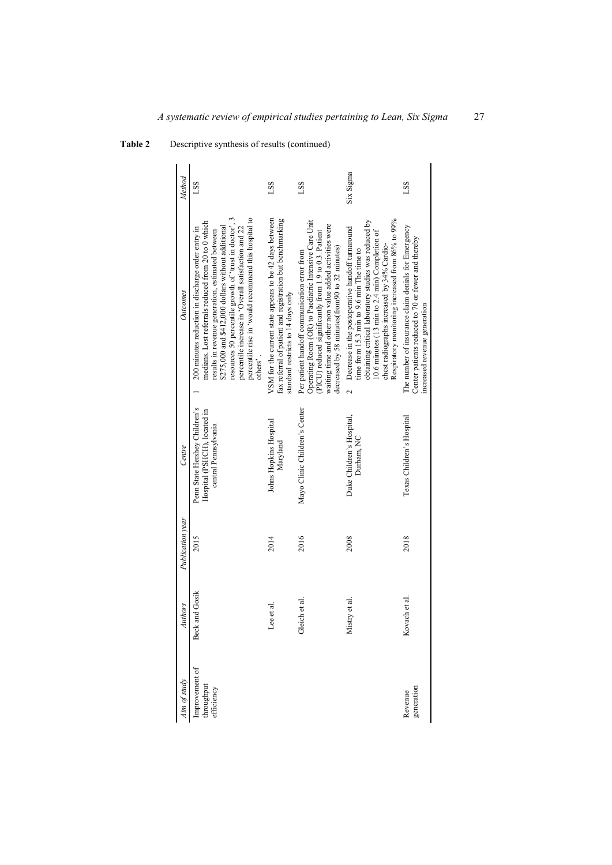| im of study                                | Authors        | Publication year | Centre                                                                                | Outcomes                                                                                                                                                                                                                                                                                                                                                                                               | Method     |
|--------------------------------------------|----------------|------------------|---------------------------------------------------------------------------------------|--------------------------------------------------------------------------------------------------------------------------------------------------------------------------------------------------------------------------------------------------------------------------------------------------------------------------------------------------------------------------------------------------------|------------|
| Improvement of<br>throughput<br>efficiency | Beck and Gosik | 2015             | Penn State Hershey Children's<br>Hospital (PSHCH), located in<br>central Pennsylvania | resources 50 percentile growth of 'trust in doctor', 3<br>percentile rise in 'would recommend this hospital to<br>medians. Lost referrals reduced from 20 to 0 which<br>\$275,000 and \$412,000 dollars without additional<br>200 minutes reduction in discharge order entry in<br>percentile increase in 'Overall satisfaction and 22<br>results in revenue generation, estimated between<br>others'. | LSS        |
|                                            | Lee et al.     | 2014             | Johns Hopkins Hospital<br>Maryland                                                    | VSM for the current state appears to be 42 days between<br>fax referral of patient and registration but benchmarking<br>standard restricts to 14 days only                                                                                                                                                                                                                                             | LSS        |
|                                            | Gleich et al.  | 2016             | Mayo Clinic Children's Center                                                         | Operating Room (OR) to Paediatric Intensive Care Unit<br>waiting time and other non value added activities were<br>PICU) reduced significantly from 1.9 to 0.3. Patient<br>decreased by 58 minutes(from90 to 32 minutes)<br>Per patient handoff communication error from                                                                                                                               | LSS        |
|                                            | Mistry et al.  | 2008             | Duke Children's Hospital,<br>Durham, NC                                               | Respiratory monitoring increased from 86% to 99%<br>obtaining critical laboratory studies was reduced by<br>2 Decrease in the postoperative handoff turnaround<br>0.6 minutes $(13 \text{ min to } 2.4 \text{ min})$ Completion of<br>chest radiographs increased by 34% Cardio-<br>time from $15.3 \text{ min}$ to $9.6 \text{ min}$ The time to                                                      | Six Sigma  |
| generation<br>Revenue                      | Kovach et al.  | 2018             | Texas Children's Hospital                                                             | The number of insurance claim denials for Emergency<br>Center patients reduced to 70 or fewer and thereby<br>increased revenue generation                                                                                                                                                                                                                                                              | <b>LSS</b> |

| Table 2 | Descriptive synthesis of results (continued) |
|---------|----------------------------------------------|
|         |                                              |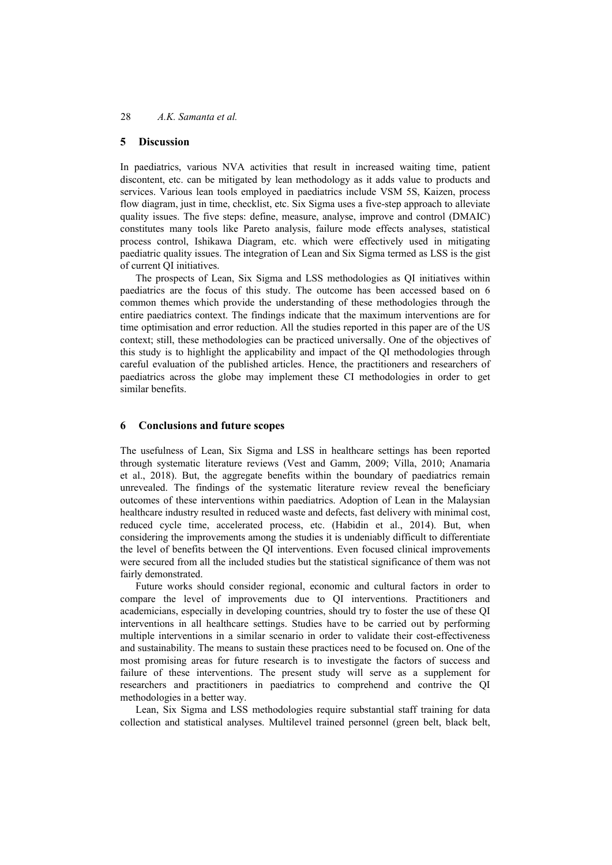#### **5 Discussion**

In paediatrics, various NVA activities that result in increased waiting time, patient discontent, etc. can be mitigated by lean methodology as it adds value to products and services. Various lean tools employed in paediatrics include VSM 5S, Kaizen, process flow diagram, just in time, checklist, etc. Six Sigma uses a five-step approach to alleviate quality issues. The five steps: define, measure, analyse, improve and control (DMAIC) constitutes many tools like Pareto analysis, failure mode effects analyses, statistical process control, Ishikawa Diagram, etc. which were effectively used in mitigating paediatric quality issues. The integration of Lean and Six Sigma termed as LSS is the gist of current QI initiatives.

The prospects of Lean, Six Sigma and LSS methodologies as QI initiatives within paediatrics are the focus of this study. The outcome has been accessed based on 6 common themes which provide the understanding of these methodologies through the entire paediatrics context. The findings indicate that the maximum interventions are for time optimisation and error reduction. All the studies reported in this paper are of the US context; still, these methodologies can be practiced universally. One of the objectives of this study is to highlight the applicability and impact of the QI methodologies through careful evaluation of the published articles. Hence, the practitioners and researchers of paediatrics across the globe may implement these CI methodologies in order to get similar benefits.

#### **6 Conclusions and future scopes**

The usefulness of Lean, Six Sigma and LSS in healthcare settings has been reported through systematic literature reviews (Vest and Gamm, 2009; Villa, 2010; Anamaria et al., 2018). But, the aggregate benefits within the boundary of paediatrics remain unrevealed. The findings of the systematic literature review reveal the beneficiary outcomes of these interventions within paediatrics. Adoption of Lean in the Malaysian healthcare industry resulted in reduced waste and defects, fast delivery with minimal cost, reduced cycle time, accelerated process, etc. (Habidin et al., 2014). But, when considering the improvements among the studies it is undeniably difficult to differentiate the level of benefits between the QI interventions. Even focused clinical improvements were secured from all the included studies but the statistical significance of them was not fairly demonstrated.

Future works should consider regional, economic and cultural factors in order to compare the level of improvements due to QI interventions. Practitioners and academicians, especially in developing countries, should try to foster the use of these QI interventions in all healthcare settings. Studies have to be carried out by performing multiple interventions in a similar scenario in order to validate their cost-effectiveness and sustainability. The means to sustain these practices need to be focused on. One of the most promising areas for future research is to investigate the factors of success and failure of these interventions. The present study will serve as a supplement for researchers and practitioners in paediatrics to comprehend and contrive the QI methodologies in a better way.

Lean, Six Sigma and LSS methodologies require substantial staff training for data collection and statistical analyses. Multilevel trained personnel (green belt, black belt,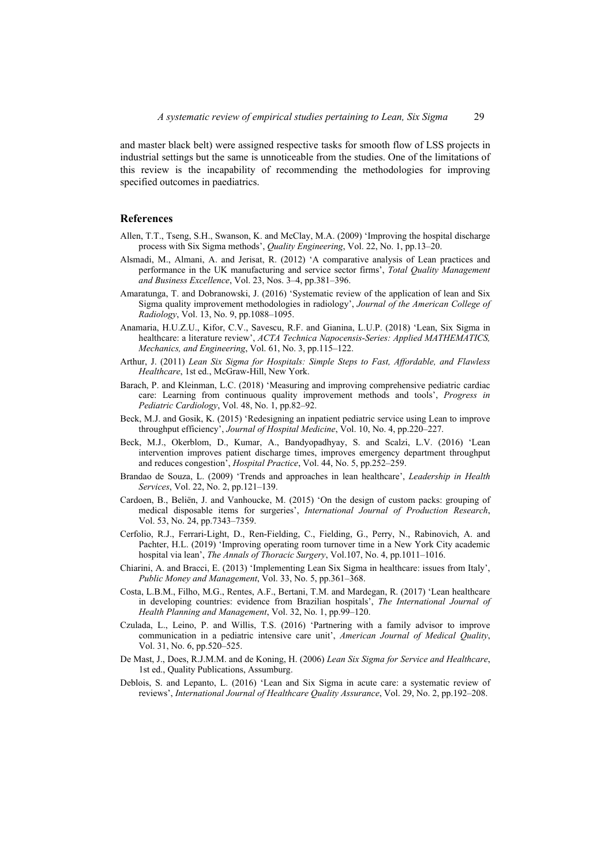and master black belt) were assigned respective tasks for smooth flow of LSS projects in industrial settings but the same is unnoticeable from the studies. One of the limitations of this review is the incapability of recommending the methodologies for improving specified outcomes in paediatrics.

### **References**

- Allen, T.T., Tseng, S.H., Swanson, K. and McClay, M.A. (2009) 'Improving the hospital discharge process with Six Sigma methods', *Quality Engineering*, Vol. 22, No. 1, pp.13–20.
- Alsmadi, M., Almani, A. and Jerisat, R. (2012) 'A comparative analysis of Lean practices and performance in the UK manufacturing and service sector firms', *Total Quality Management and Business Excellence*, Vol. 23, Nos. 3–4, pp.381–396.
- Amaratunga, T. and Dobranowski, J. (2016) 'Systematic review of the application of lean and Six Sigma quality improvement methodologies in radiology', *Journal of the American College of Radiology*, Vol. 13, No. 9, pp.1088–1095.
- Anamaria, H.U.Z.U., Kifor, C.V., Savescu, R.F. and Gianina, L.U.P. (2018) 'Lean, Six Sigma in healthcare: a literature review', *ACTA Technica Napocensis-Series: Applied MATHEMATICS, Mechanics, and Engineering*, Vol. 61, No. 3, pp.115–122.
- Arthur, J. (2011) *Lean Six Sigma for Hospitals: Simple Steps to Fast, Affordable, and Flawless Healthcare*, 1st ed., McGraw-Hill, New York.
- Barach, P. and Kleinman, L.C. (2018) 'Measuring and improving comprehensive pediatric cardiac care: Learning from continuous quality improvement methods and tools', *Progress in Pediatric Cardiology*, Vol. 48, No. 1, pp.82–92.
- Beck, M.J. and Gosik, K. (2015) 'Redesigning an inpatient pediatric service using Lean to improve throughput efficiency', *Journal of Hospital Medicine*, Vol. 10, No. 4, pp.220–227.
- Beck, M.J., Okerblom, D., Kumar, A., Bandyopadhyay, S. and Scalzi, L.V. (2016) 'Lean intervention improves patient discharge times, improves emergency department throughput and reduces congestion', *Hospital Practice*, Vol. 44, No. 5, pp.252–259.
- Brandao de Souza, L. (2009) 'Trends and approaches in lean healthcare', *Leadership in Health Services*, Vol. 22, No. 2, pp.121–139.
- Cardoen, B., Beliën, J. and Vanhoucke, M. (2015) 'On the design of custom packs: grouping of medical disposable items for surgeries', *International Journal of Production Research*, Vol. 53, No. 24, pp.7343–7359.
- Cerfolio, R.J., Ferrari-Light, D., Ren-Fielding, C., Fielding, G., Perry, N., Rabinovich, A. and Pachter, H.L. (2019) 'Improving operating room turnover time in a New York City academic hospital via lean', *The Annals of Thoracic Surgery*, Vol.107, No. 4, pp.1011–1016.
- Chiarini, A. and Bracci, E. (2013) 'Implementing Lean Six Sigma in healthcare: issues from Italy', *Public Money and Management*, Vol. 33, No. 5, pp.361–368.
- Costa, L.B.M., Filho, M.G., Rentes, A.F., Bertani, T.M. and Mardegan, R. (2017) 'Lean healthcare in developing countries: evidence from Brazilian hospitals', *The International Journal of Health Planning and Management*, Vol. 32, No. 1, pp.99–120.
- Czulada, L., Leino, P. and Willis, T.S. (2016) 'Partnering with a family advisor to improve communication in a pediatric intensive care unit', *American Journal of Medical Quality*, Vol. 31, No. 6, pp.520–525.
- De Mast, J., Does, R.J.M.M. and de Koning, H. (2006) *Lean Six Sigma for Service and Healthcare*, 1st ed., Quality Publications, Assumburg.
- Deblois, S. and Lepanto, L. (2016) 'Lean and Six Sigma in acute care: a systematic review of reviews', *International Journal of Healthcare Quality Assurance*, Vol. 29, No. 2, pp.192–208.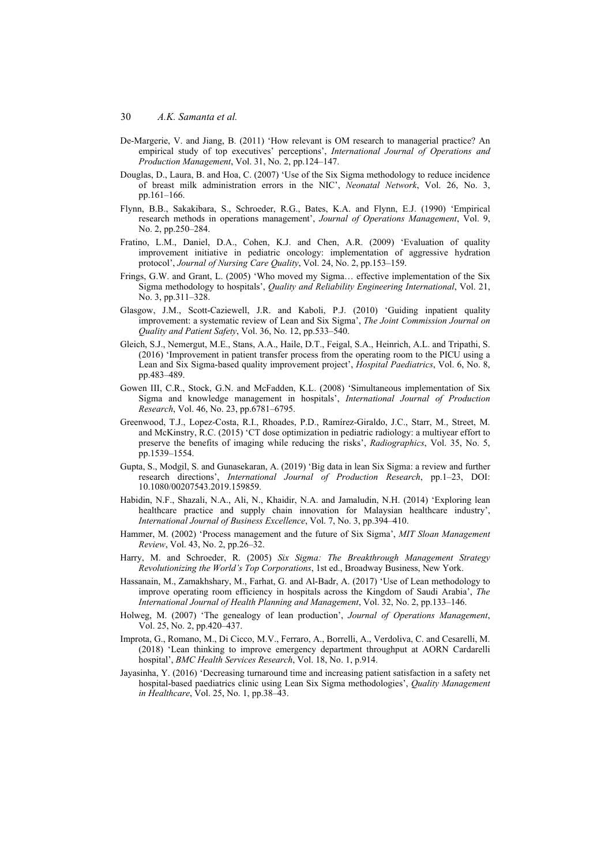- De-Margerie, V. and Jiang, B. (2011) 'How relevant is OM research to managerial practice? An empirical study of top executives' perceptions', *International Journal of Operations and Production Management*, Vol. 31, No. 2, pp.124–147.
- Douglas, D., Laura, B. and Hoa, C. (2007) 'Use of the Six Sigma methodology to reduce incidence of breast milk administration errors in the NIC', *Neonatal Network*, Vol. 26, No. 3, pp.161–166.
- Flynn, B.B., Sakakibara, S., Schroeder, R.G., Bates, K.A. and Flynn, E.J. (1990) 'Empirical research methods in operations management', *Journal of Operations Management*, Vol. 9, No. 2, pp.250–284.
- Fratino, L.M., Daniel, D.A., Cohen, K.J. and Chen, A.R. (2009) 'Evaluation of quality improvement initiative in pediatric oncology: implementation of aggressive hydration protocol', *Journal of Nursing Care Quality*, Vol. 24, No. 2, pp.153–159.
- Frings, G.W. and Grant, L. (2005) 'Who moved my Sigma… effective implementation of the Six Sigma methodology to hospitals', *Quality and Reliability Engineering International*, Vol. 21, No. 3, pp.311–328.
- Glasgow, J.M., Scott-Caziewell, J.R. and Kaboli, P.J. (2010) 'Guiding inpatient quality improvement: a systematic review of Lean and Six Sigma', *The Joint Commission Journal on Quality and Patient Safety*, Vol. 36, No. 12, pp.533–540.
- Gleich, S.J., Nemergut, M.E., Stans, A.A., Haile, D.T., Feigal, S.A., Heinrich, A.L. and Tripathi, S. (2016) 'Improvement in patient transfer process from the operating room to the PICU using a Lean and Six Sigma-based quality improvement project', *Hospital Paediatrics*, Vol. 6, No. 8, pp.483–489.
- Gowen III, C.R., Stock, G.N. and McFadden, K.L. (2008) 'Simultaneous implementation of Six Sigma and knowledge management in hospitals', *International Journal of Production Research*, Vol. 46, No. 23, pp.6781–6795.
- Greenwood, T.J., Lopez-Costa, R.I., Rhoades, P.D., Ramírez-Giraldo, J.C., Starr, M., Street, M. and McKinstry, R.C. (2015) 'CT dose optimization in pediatric radiology: a multiyear effort to preserve the benefits of imaging while reducing the risks', *Radiographics*, Vol. 35, No. 5, pp.1539–1554.
- Gupta, S., Modgil, S. and Gunasekaran, A. (2019) 'Big data in lean Six Sigma: a review and further research directions', *International Journal of Production Research*, pp.1–23, DOI: 10.1080/00207543.2019.159859.
- Habidin, N.F., Shazali, N.A., Ali, N., Khaidir, N.A. and Jamaludin, N.H. (2014) 'Exploring lean healthcare practice and supply chain innovation for Malaysian healthcare industry', *International Journal of Business Excellence*, Vol. 7, No. 3, pp.394–410.
- Hammer, M. (2002) 'Process management and the future of Six Sigma', *MIT Sloan Management Review*, Vol. 43, No. 2, pp.26–32.
- Harry, M. and Schroeder, R. (2005) *Six Sigma: The Breakthrough Management Strategy Revolutionizing the World's Top Corporations*, 1st ed., Broadway Business, New York.
- Hassanain, M., Zamakhshary, M., Farhat, G. and Al‐Badr, A. (2017) 'Use of Lean methodology to improve operating room efficiency in hospitals across the Kingdom of Saudi Arabia', *The International Journal of Health Planning and Management*, Vol. 32, No. 2, pp.133–146.
- Holweg, M. (2007) 'The genealogy of lean production', *Journal of Operations Management*, Vol. 25, No. 2, pp.420–437.
- Improta, G., Romano, M., Di Cicco, M.V., Ferraro, A., Borrelli, A., Verdoliva, C. and Cesarelli, M. (2018) 'Lean thinking to improve emergency department throughput at AORN Cardarelli hospital', *BMC Health Services Research*, Vol. 18, No. 1, p.914.
- Jayasinha, Y. (2016) 'Decreasing turnaround time and increasing patient satisfaction in a safety net hospital-based paediatrics clinic using Lean Six Sigma methodologies', *Quality Management in Healthcare*, Vol. 25, No. 1, pp.38–43.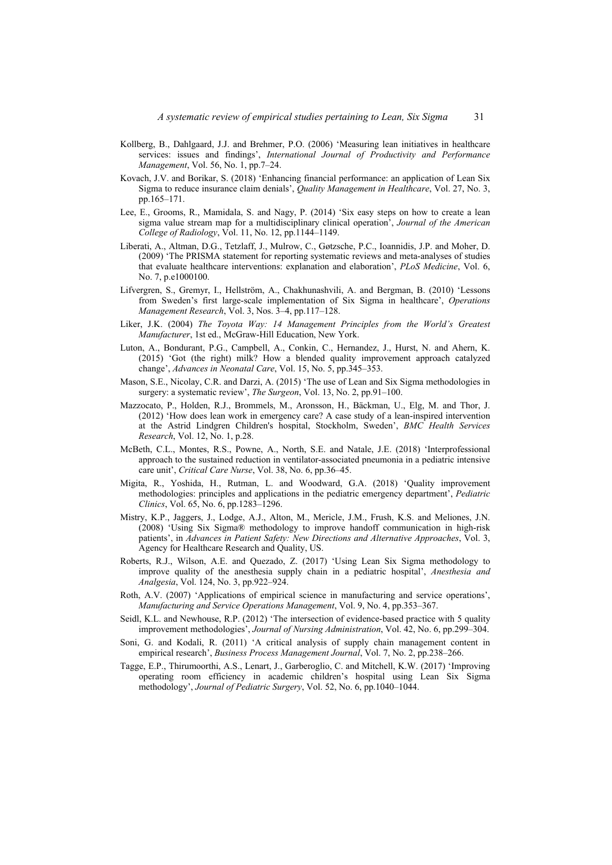- Kollberg, B., Dahlgaard, J.J. and Brehmer, P.O. (2006) 'Measuring lean initiatives in healthcare services: issues and findings', *International Journal of Productivity and Performance Management*, Vol. 56, No. 1, pp.7–24.
- Kovach, J.V. and Borikar, S. (2018) 'Enhancing financial performance: an application of Lean Six Sigma to reduce insurance claim denials', *Quality Management in Healthcare*, Vol. 27, No. 3, pp.165–171.
- Lee, E., Grooms, R., Mamidala, S. and Nagy, P. (2014) 'Six easy steps on how to create a lean sigma value stream map for a multidisciplinary clinical operation', *Journal of the American College of Radiology*, Vol. 11, No. 12, pp.1144–1149.
- Liberati, A., Altman, D.G., Tetzlaff, J., Mulrow, C., Gøtzsche, P.C., Ioannidis, J.P. and Moher, D. (2009) 'The PRISMA statement for reporting systematic reviews and meta-analyses of studies that evaluate healthcare interventions: explanation and elaboration', *PLoS Medicine*, Vol. 6, No. 7, p.e1000100.
- Lifvergren, S., Gremyr, I., Hellström, A., Chakhunashvili, A. and Bergman, B. (2010) 'Lessons from Sweden's first large-scale implementation of Six Sigma in healthcare', *Operations Management Research*, Vol. 3, Nos. 3–4, pp.117–128.
- Liker, J.K. (2004) *The Toyota Way: 14 Management Principles from the World's Greatest Manufacturer*, 1st ed., McGraw-Hill Education, New York.
- Luton, A., Bondurant, P.G., Campbell, A., Conkin, C., Hernandez, J., Hurst, N. and Ahern, K. (2015) 'Got (the right) milk? How a blended quality improvement approach catalyzed change', *Advances in Neonatal Care*, Vol. 15, No. 5, pp.345–353.
- Mason, S.E., Nicolay, C.R. and Darzi, A. (2015) 'The use of Lean and Six Sigma methodologies in surgery: a systematic review', *The Surgeon*, Vol. 13, No. 2, pp.91–100.
- Mazzocato, P., Holden, R.J., Brommels, M., Aronsson, H., Bäckman, U., Elg, M. and Thor, J. (2012) 'How does lean work in emergency care? A case study of a lean-inspired intervention at the Astrid Lindgren Children's hospital, Stockholm, Sweden', *BMC Health Services Research*, Vol. 12, No. 1, p.28.
- McBeth, C.L., Montes, R.S., Powne, A., North, S.E. and Natale, J.E. (2018) 'Interprofessional approach to the sustained reduction in ventilator-associated pneumonia in a pediatric intensive care unit', *Critical Care Nurse*, Vol. 38, No. 6, pp.36–45.
- Migita, R., Yoshida, H., Rutman, L. and Woodward, G.A. (2018) 'Quality improvement methodologies: principles and applications in the pediatric emergency department', *Pediatric Clinics*, Vol. 65, No. 6, pp.1283–1296.
- Mistry, K.P., Jaggers, J., Lodge, A.J., Alton, M., Mericle, J.M., Frush, K.S. and Meliones, J.N. (2008) 'Using Six Sigma® methodology to improve handoff communication in high-risk patients', in *Advances in Patient Safety: New Directions and Alternative Approaches*, Vol. 3, Agency for Healthcare Research and Quality, US.
- Roberts, R.J., Wilson, A.E. and Quezado, Z. (2017) 'Using Lean Six Sigma methodology to improve quality of the anesthesia supply chain in a pediatric hospital', *Anesthesia and Analgesia*, Vol. 124, No. 3, pp.922–924.
- Roth, A.V. (2007) 'Applications of empirical science in manufacturing and service operations', *Manufacturing and Service Operations Management*, Vol. 9, No. 4, pp.353–367.
- Seidl, K.L. and Newhouse, R.P. (2012) 'The intersection of evidence-based practice with 5 quality improvement methodologies', *Journal of Nursing Administration*, Vol. 42, No. 6, pp.299–304.
- Soni, G. and Kodali, R. (2011) 'A critical analysis of supply chain management content in empirical research', *Business Process Management Journal*, Vol. 7, No. 2, pp.238–266.
- Tagge, E.P., Thirumoorthi, A.S., Lenart, J., Garberoglio, C. and Mitchell, K.W. (2017) 'Improving operating room efficiency in academic children's hospital using Lean Six Sigma methodology', *Journal of Pediatric Surgery*, Vol. 52, No. 6, pp.1040–1044.